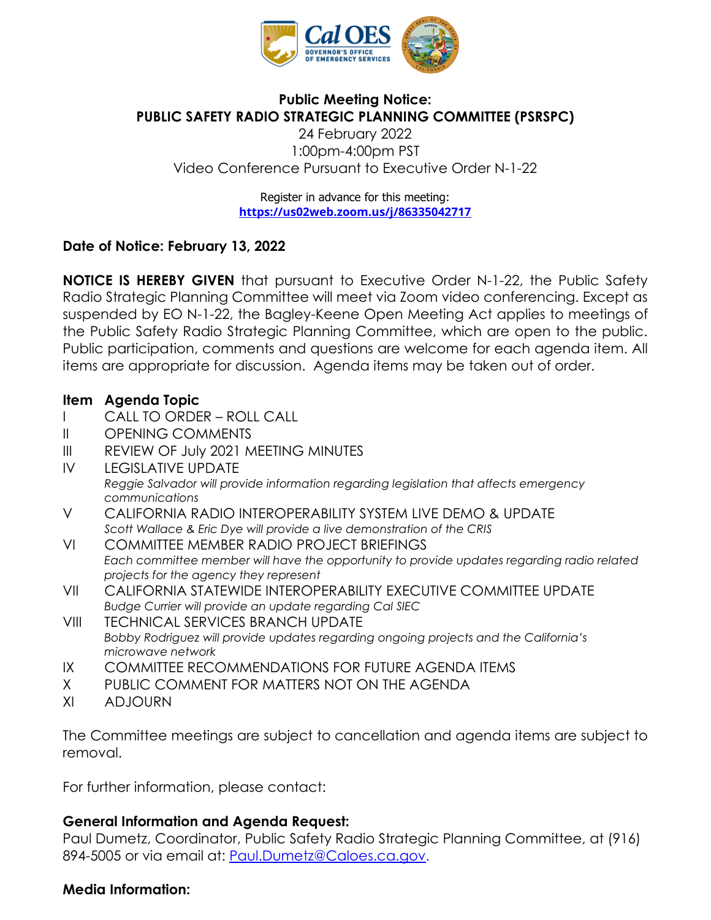

# **Public Meeting Notice: PUBLIC SAFETY RADIO STRATEGIC PLANNING COMMITTEE (PSRSPC)**

24 February 2022 1:00pm-4:00pm PST Video Conference Pursuant to Executive Order N-1-22

> Register in advance for this meeting: **<https://us02web.zoom.us/j/86335042717>**

# **Date of Notice: February 13, 2022**

**NOTICE IS HEREBY GIVEN** that pursuant to Executive Order N-1-22, the Public Safety Radio Strategic Planning Committee will meet via Zoom video conferencing. Except as suspended by EO N-1-22, the Bagley-Keene Open Meeting Act applies to meetings of the Public Safety Radio Strategic Planning Committee, which are open to the public. Public participation, comments and questions are welcome for each agenda item. All items are appropriate for discussion. Agenda items may be taken out of order.

# **Item Agenda Topic**

- I CALL TO ORDER ROLL CALL
- II OPENING COMMENTS
- III REVIEW OF July 2021 MEETING MINUTES
- IV LEGISLATIVE UPDATE *Reggie Salvador will provide information regarding legislation that affects emergency communications*
- V CALIFORNIA RADIO INTEROPERABILITY SYSTEM LIVE DEMO & UPDATE *Scott Wallace & Eric Dye will provide a live demonstration of the CRIS*
- VI COMMITTEE MEMBER RADIO PROJECT BRIEFINGS *Each committee member will have the opportunity to provide updates regarding radio related projects for the agency they represent*
- VII CALIFORNIA STATEWIDE INTEROPERABILITY EXECUTIVE COMMITTEE UPDATE *Budge Currier will provide an update regarding Cal SIEC*
- VIII TECHNICAL SERVICES BRANCH UPDATE *Bobby Rodriguez will provide updates regarding ongoing projects and the California's microwave network*
- IX COMMITTEE RECOMMENDATIONS FOR FUTURE AGENDA ITEMS
- X PUBLIC COMMENT FOR MATTERS NOT ON THE AGENDA
- XI ADJOURN

The Committee meetings are subject to cancellation and agenda items are subject to removal.

For further information, please contact:

# **General Information and Agenda Request:**

Paul Dumetz, Coordinator, Public Safety Radio Strategic Planning Committee, at (916) 894-5005 or via email at: Paul.Dumetz@Caloes.ca.gov.

### **Media Information:**